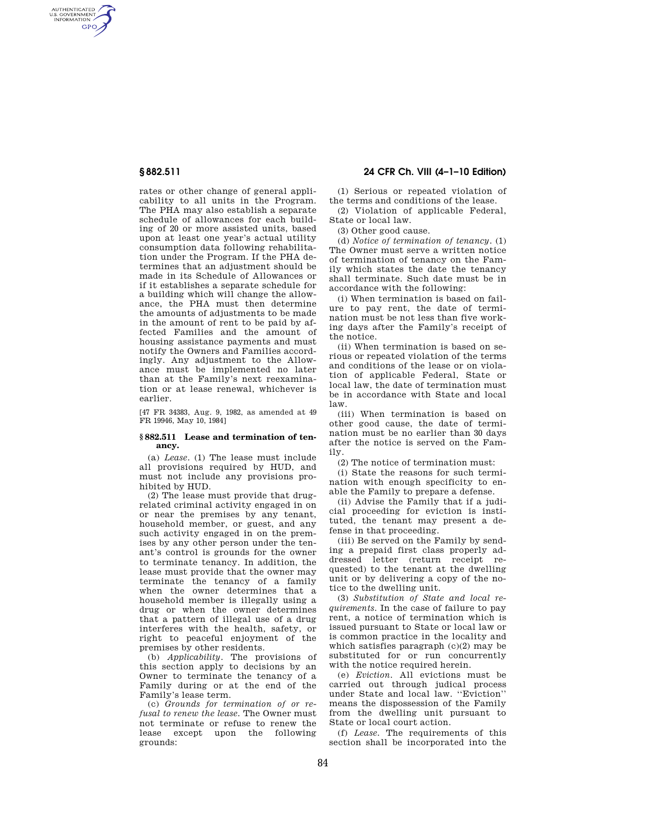AUTHENTICATED<br>U.S. GOVERNMENT<br>INFORMATION **GPO** 

> rates or other change of general applicability to all units in the Program. The PHA may also establish a separate schedule of allowances for each building of 20 or more assisted units, based upon at least one year's actual utility consumption data following rehabilitation under the Program. If the PHA determines that an adjustment should be made in its Schedule of Allowances or if it establishes a separate schedule for a building which will change the allowance, the PHA must then determine the amounts of adjustments to be made in the amount of rent to be paid by affected Families and the amount of housing assistance payments and must notify the Owners and Families accordingly. Any adjustment to the Allowance must be implemented no later than at the Family's next reexamination or at lease renewal, whichever is earlier.

[47 FR 34383, Aug. 9, 1982, as amended at 49 FR 19946, May 10, 1984]

## **§ 882.511 Lease and termination of tenancy.**

(a) *Lease.* (1) The lease must include all provisions required by HUD, and must not include any provisions prohibited by HUD.

(2) The lease must provide that drugrelated criminal activity engaged in on or near the premises by any tenant, household member, or guest, and any such activity engaged in on the premises by any other person under the tenant's control is grounds for the owner to terminate tenancy. In addition, the lease must provide that the owner may terminate the tenancy of a family when the owner determines that a household member is illegally using a drug or when the owner determines that a pattern of illegal use of a drug interferes with the health, safety, or right to peaceful enjoyment of the premises by other residents.

(b) *Applicability.* The provisions of this section apply to decisions by an Owner to terminate the tenancy of a Family during or at the end of the Family's lease term.

(c) *Grounds for termination of or refusal to renew the lease.* The Owner must not terminate or refuse to renew the lease except upon the following grounds:

# **§ 882.511 24 CFR Ch. VIII (4–1–10 Edition)**

(1) Serious or repeated violation of the terms and conditions of the lease.

(2) Violation of applicable Federal, State or local law.

(3) Other good cause.

(d) *Notice of termination of tenancy.* (1) The Owner must serve a written notice of termination of tenancy on the Family which states the date the tenancy shall terminate. Such date must be in accordance with the following:

(i) When termination is based on failure to pay rent, the date of termination must be not less than five working days after the Family's receipt of the notice.

(ii) When termination is based on serious or repeated violation of the terms and conditions of the lease or on violation of applicable Federal, State or local law, the date of termination must be in accordance with State and local law.

(iii) When termination is based on other good cause, the date of termination must be no earlier than 30 days after the notice is served on the Family.

(2) The notice of termination must:

(i) State the reasons for such termination with enough specificity to enable the Family to prepare a defense.

(ii) Advise the Family that if a judicial proceeding for eviction is instituted, the tenant may present a defense in that proceeding.

(iii) Be served on the Family by sending a prepaid first class properly addressed letter (return receipt requested) to the tenant at the dwelling unit or by delivering a copy of the notice to the dwelling unit.

(3) *Substitution of State and local requirements.* In the case of failure to pay rent, a notice of termination which is issued pursuant to State or local law or is common practice in the locality and which satisfies paragraph  $(c)(2)$  may be substituted for or run concurrently with the notice required herein.

(e) *Eviction.* All evictions must be carried out through judical process under State and local law. ''Eviction'' means the dispossession of the Family from the dwelling unit pursuant to State or local court action.

(f) *Lease.* The requirements of this section shall be incorporated into the